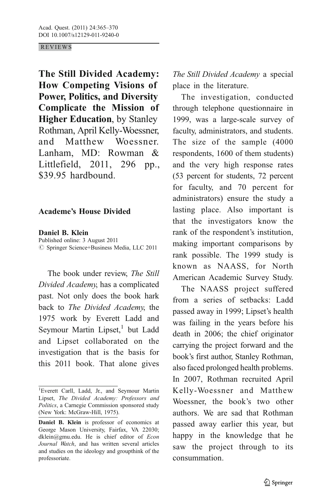## REVIEWS

The Still Divided Academy: How Competing Visions of Power, Politics, and Diversity Complicate the Mission of **Higher Education, by Stanley** Rothman, April Kelly-Woessner, and Matthew Woessner. Lanham, MD: Rowman & Littlefield, 2011, 296 pp., \$39.95 hardbound.

## Academe's House Divided

Daniel B. Klein Published online: 3 August 2011  $©$  Springer Science+Business Media, LLC 2011

The book under review, The Still Divided Academy, has a complicated past. Not only does the book hark back to The Divided Academy, the 1975 work by Everett Ladd and Seymour Martin Lipset,<sup>1</sup> but Ladd and Lipset collaborated on the investigation that is the basis for this 2011 book. That alone gives The Still Divided Academy a special place in the literature.

The investigation, conducted through telephone questionnaire in 1999, was a large-scale survey of faculty, administrators, and students. The size of the sample (4000 respondents, 1600 of them students) and the very high response rates (53 percent for students, 72 percent for faculty, and 70 percent for administrators) ensure the study a lasting place. Also important is that the investigators know the rank of the respondent's institution, making important comparisons by rank possible. The 1999 study is known as NAASS, for North American Academic Survey Study.

The NAASS project suffered from a series of setbacks: Ladd passed away in 1999; Lipset's health was failing in the years before his death in 2006; the chief originator carrying the project forward and the book's first author, Stanley Rothman, also faced prolonged health problems. In 2007, Rothman recruited April Kelly-Woessner and Matthew Woessner, the book's two other authors. We are sad that Rothman passed away earlier this year, but happy in the knowledge that he saw the project through to its consummation.

<sup>1</sup> Everett Carll, Ladd, Jr., and Seymour Martin Lipset, The Divided Academy: Professors and Politics, a Carnegie Commission sponsored study (New York: McGraw-Hill, 1975).

Daniel B. Klein is professor of economics at George Mason University, Fairfax, VA 22030; dklein@gmu.edu. He is chief editor of Econ Journal Watch, and has written several articles and studies on the ideology and groupthink of the professoriate.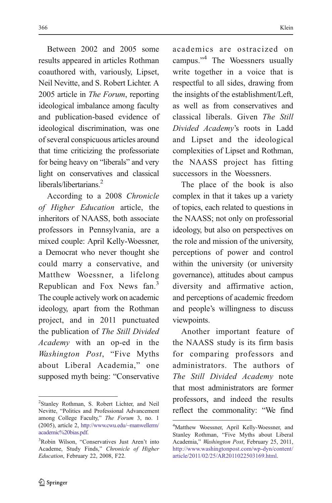Between 2002 and 2005 some results appeared in articles Rothman coauthored with, variously, Lipset, Neil Nevitte, and S. Robert Lichter. A 2005 article in *The Forum*, reporting ideological imbalance among faculty and publication-based evidence of ideological discrimination, was one of several conspicuous articles around that time criticizing the professoriate for being heavy on "liberals" and very light on conservatives and classical liberals/libertarians $^2$ 

According to a 2008 Chronicle of Higher Education article, the inheritors of NAASS, both associate professors in Pennsylvania, are a mixed couple: April Kelly-Woessner, a Democrat who never thought she could marry a conservative, and Matthew Woessner, a lifelong Republican and Fox News fan.<sup>3</sup> The couple actively work on academic ideology, apart from the Rothman project, and in 2011 punctuated the publication of The Still Divided Academy with an op-ed in the Washington Post, "Five Myths about Liberal Academia," one supposed myth being: "Conservative

academics are ostracized on campus."<sup>4</sup> The Woessners usually write together in a voice that is respectful to all sides, drawing from the insights of the establishment/Left, as well as from conservatives and classical liberals. Given The Still Divided Academy's roots in Ladd and Lipset and the ideological complexities of Lipset and Rothman, the NAASS project has fitting successors in the Woessners.

The place of the book is also complex in that it takes up a variety of topics, each related to questions in the NAASS; not only on professorial ideology, but also on perspectives on the role and mission of the university, perceptions of power and control within the university (or university governance), attitudes about campus diversity and affirmative action, and perceptions of academic freedom and people's willingness to discuss viewpoints.

Another important feature of the NAASS study is its firm basis for comparing professors and administrators. The authors of The Still Divided Academy note that most administrators are former professors, and indeed the results reflect the commonality: "We find

<sup>2</sup> Stanley Rothman, S. Robert Lichter, and Neil Nevitte, "Politics and Professional Advancement among College Faculty," The Forum 3, no. 1 (2005), article 2, [http://www.cwu.edu/~manwellerm/](http://www.cwu.edu/~manwellerm/academic%20bias.pdf) [academic%20bias.pdf.](http://www.cwu.edu/~manwellerm/academic%20bias.pdf)

<sup>3</sup> Robin Wilson, "Conservatives Just Aren't into Academe, Study Finds," Chronicle of Higher Education, February 22, 2008, F22.

<sup>4</sup> Matthew Woessner, April Kelly-Woessner, and Stanley Rothman, "Five Myths about Liberal Academia," Washington Post, February 25, 2011, [http://www.washingtonpost.com/wp-dyn/content/](http://www.washingtonpost.com/wp-dyn/content/article/2011/02/25/AR2011022503169.html) [article/2011/02/25/AR2011022503169.html](http://www.washingtonpost.com/wp-dyn/content/article/2011/02/25/AR2011022503169.html).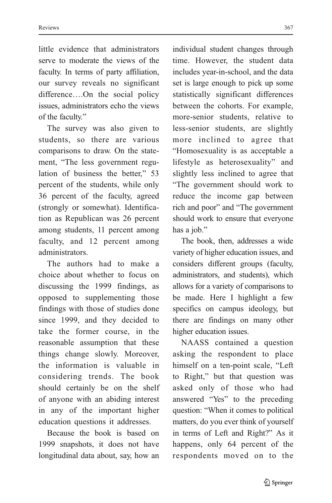little evidence that administrators serve to moderate the views of the faculty. In terms of party affiliation, our survey reveals no significant difference….On the social policy issues, administrators echo the views of the faculty."

The survey was also given to students, so there are various comparisons to draw. On the statement, "The less government regulation of business the better," 53 percent of the students, while only 36 percent of the faculty, agreed (strongly or somewhat). Identification as Republican was 26 percent among students, 11 percent among faculty, and 12 percent among administrators.

The authors had to make a choice about whether to focus on discussing the 1999 findings, as opposed to supplementing those findings with those of studies done since 1999, and they decided to take the former course, in the reasonable assumption that these things change slowly. Moreover, the information is valuable in considering trends. The book should certainly be on the shelf of anyone with an abiding interest in any of the important higher education questions it addresses.

Because the book is based on 1999 snapshots, it does not have longitudinal data about, say, how an

individual student changes through time. However, the student data includes year-in-school, and the data set is large enough to pick up some statistically significant differences between the cohorts. For example, more-senior students, relative to less-senior students, are slightly more inclined to agree that "Homosexuality is as acceptable a lifestyle as heterosexuality" and slightly less inclined to agree that "The government should work to reduce the income gap between rich and poor" and "The government should work to ensure that everyone has a job."

The book, then, addresses a wide variety of higher education issues, and considers different groups (faculty, administrators, and students), which allows for a variety of comparisons to be made. Here I highlight a few specifics on campus ideology, but there are findings on many other higher education issues.

NAASS contained a question asking the respondent to place himself on a ten-point scale, "Left to Right," but that question was asked only of those who had answered "Yes" to the preceding question: "When it comes to political matters, do you ever think of yourself in terms of Left and Right?" As it happens, only 64 percent of the respondents moved on to the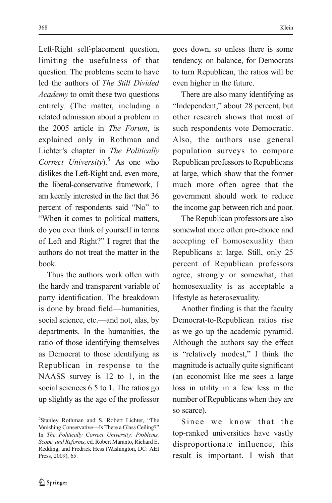Left-Right self-placement question, limiting the usefulness of that question. The problems seem to have led the authors of The Still Divided Academy to omit these two questions entirely. (The matter, including a related admission about a problem in the 2005 article in The Forum, is explained only in Rothman and Lichter's chapter in The Politically Correct University).<sup>5</sup> As one who dislikes the Left-Right and, even more, the liberal-conservative framework, I am keenly interested in the fact that 36 percent of respondents said "No" to "When it comes to political matters, do you ever think of yourself in terms of Left and Right?" I regret that the authors do not treat the matter in the book.

Thus the authors work often with the hardy and transparent variable of party identification. The breakdown is done by broad field—humanities, social science, etc.—and not, alas, by departments. In the humanities, the ratio of those identifying themselves as Democrat to those identifying as Republican in response to the NAASS survey is 12 to 1, in the social sciences 6.5 to 1. The ratios go up slightly as the age of the professor

goes down, so unless there is some tendency, on balance, for Democrats to turn Republican, the ratios will be even higher in the future.

There are also many identifying as "Independent," about 28 percent, but other research shows that most of such respondents vote Democratic. Also, the authors use general population surveys to compare Republican professors to Republicans at large, which show that the former much more often agree that the government should work to reduce the income gap between rich and poor.

The Republican professors are also somewhat more often pro-choice and accepting of homosexuality than Republicans at large. Still, only 25 percent of Republican professors agree, strongly or somewhat, that homosexuality is as acceptable a lifestyle as heterosexuality.

Another finding is that the faculty Democrat-to-Republican ratios rise as we go up the academic pyramid. Although the authors say the effect is "relatively modest," I think the magnitude is actually quite significant (an economist like me sees a large loss in utility in a few less in the number of Republicans when they are so scarce).

Since we know that the top-ranked universities have vastly disproportionate influence, this result is important. I wish that

<sup>5</sup> Stanley Rothman and S. Robert Lichter, "The Vanishing Conservative—Is There a Glass Ceiling?" In The Politically Correct University: Problems, Scope, and Reforms, ed. Robert Maranto, Richard E. Redding, and Fredrick Hess (Washington, DC: AEI Press, 2009), 65.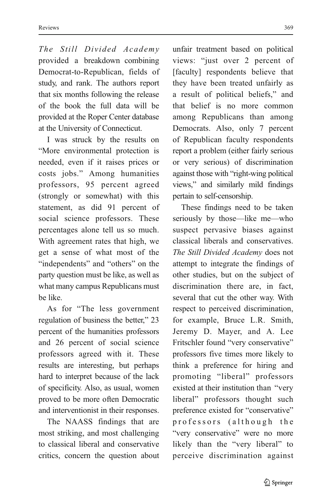The Still Divided Academy provided a breakdown combining Democrat-to-Republican, fields of study, and rank. The authors report that six months following the release of the book the full data will be provided at the Roper Center database at the University of Connecticut.

I was struck by the results on "More environmental protection is needed, even if it raises prices or costs jobs." Among humanities professors, 95 percent agreed (strongly or somewhat) with this statement, as did 91 percent of social science professors. These percentages alone tell us so much. With agreement rates that high, we get a sense of what most of the "independents" and "others" on the party question must be like, as well as what many campus Republicans must be like.

As for "The less government regulation of business the better," 23 percent of the humanities professors and 26 percent of social science professors agreed with it. These results are interesting, but perhaps hard to interpret because of the lack of specificity. Also, as usual, women proved to be more often Democratic and interventionist in their responses.

The NAASS findings that are most striking, and most challenging to classical liberal and conservative critics, concern the question about

unfair treatment based on political views: "just over 2 percent of [faculty] respondents believe that they have been treated unfairly as a result of political beliefs," and that belief is no more common among Republicans than among Democrats. Also, only 7 percent of Republican faculty respondents report a problem (either fairly serious or very serious) of discrimination against those with "right-wing political views," and similarly mild findings pertain to self-censorship.

These findings need to be taken seriously by those—like me—who suspect pervasive biases against classical liberals and conservatives. The Still Divided Academy does not attempt to integrate the findings of other studies, but on the subject of discrimination there are, in fact, several that cut the other way. With respect to perceived discrimination, for example, Bruce L.R. Smith, Jeremy D. Mayer, and A. Lee Fritschler found "very conservative" professors five times more likely to think a preference for hiring and promoting "liberal" professors existed at their institution than "very liberal" professors thought such preference existed for "conservative" professors (although the "very conservative" were no more likely than the "very liberal" to perceive discrimination against